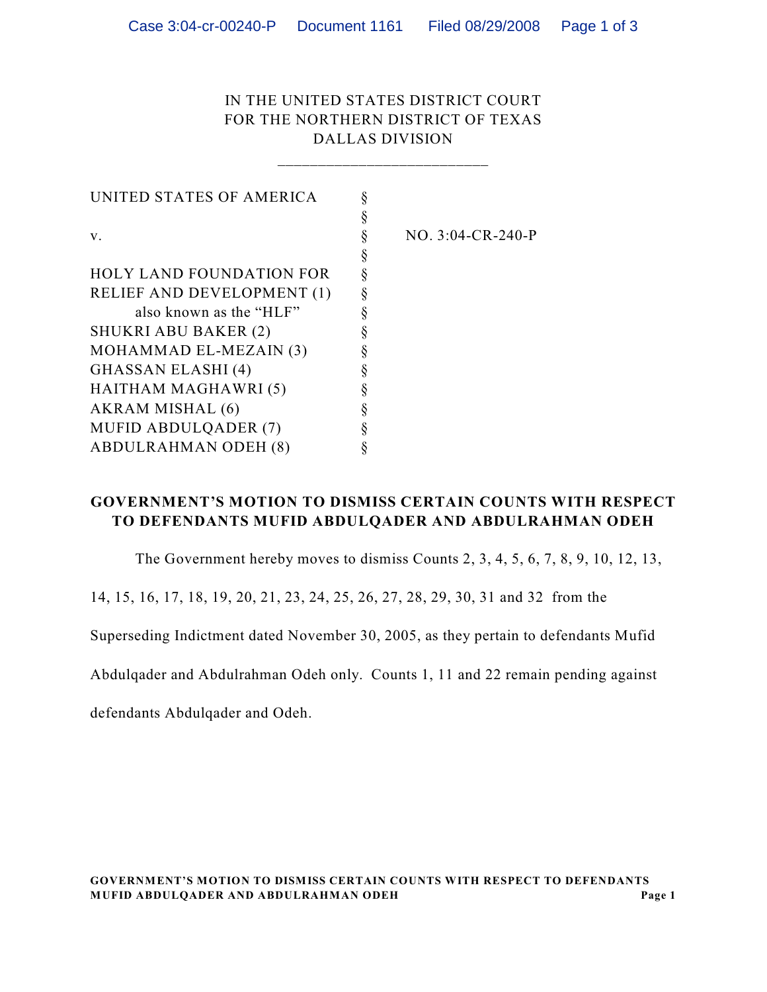## IN THE UNITED STATES DISTRICT COURT FOR THE NORTHERN DISTRICT OF TEXAS DALLAS DIVISION

\_\_\_\_\_\_\_\_\_\_\_\_\_\_\_\_\_\_\_\_\_\_\_\_\_\_

| UNITED STATES OF AMERICA        |    |                     |
|---------------------------------|----|---------------------|
|                                 |    |                     |
| v.                              |    | $NO. 3:04-CR-240-P$ |
|                                 | \$ |                     |
| <b>HOLY LAND FOUNDATION FOR</b> |    |                     |
| RELIEF AND DEVELOPMENT (1)      | ş  |                     |
| also known as the "HLF"         |    |                     |
| SHUKRI ABU BAKER (2)            |    |                     |
| MOHAMMAD EL-MEZAIN (3)          |    |                     |
| GHASSAN ELASHI (4)              |    |                     |
| HAITHAM MAGHAWRI (5)            |    |                     |
| AKRAM MISHAL (6)                |    |                     |
| MUFID ABDULQADER (7)            |    |                     |
| <b>ABDULRAHMAN ODEH (8)</b>     |    |                     |

## **GOVERNMENT'S MOTION TO DISMISS CERTAIN COUNTS WITH RESPECT TO DEFENDANTS MUFID ABDULQADER AND ABDULRAHMAN ODEH**

The Government hereby moves to dismiss Counts 2, 3, 4, 5, 6, 7, 8, 9, 10, 12, 13,

14, 15, 16, 17, 18, 19, 20, 21, 23, 24, 25, 26, 27, 28, 29, 30, 31 and 32 from the

Superseding Indictment dated November 30, 2005, as they pertain to defendants Mufid

Abdulqader and Abdulrahman Odeh only. Counts 1, 11 and 22 remain pending against

defendants Abdulqader and Odeh.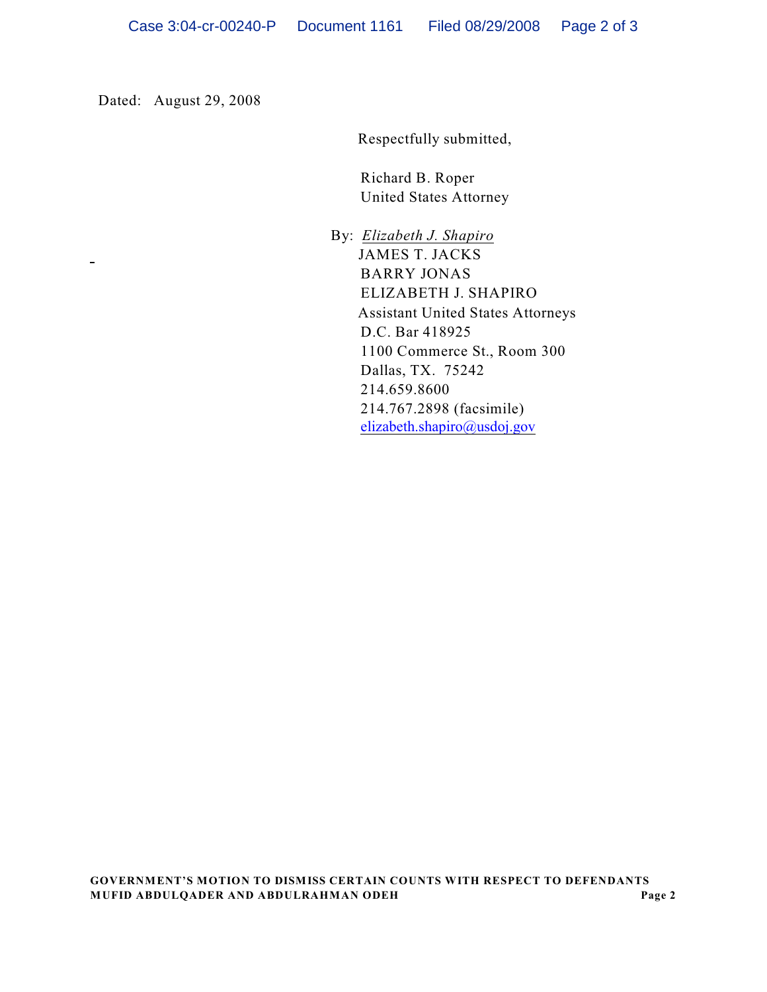Dated: August 29, 2008

Respectfully submitted,

 Richard B. Roper United States Attorney

 By: *Elizabeth J. Shapiro* JAMES T. JACKS BARRY JONAS ELIZABETH J. SHAPIRO Assistant United States Attorneys D.C. Bar 418925 1100 Commerce St., Room 300 Dallas, TX. 75242 214.659.8600 214.767.2898 (facsimile) [elizabeth.shapiro@usdoj.gov](mailto:elizabeth.shapiro@usdoj.gov)